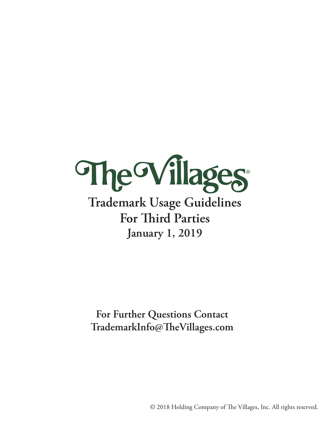

# **Trademark Usage Guidelines For Third Parties January 1, 2019**

**For Further Questions Contact TrademarkInfo@TheVillages.com**

© 2018 Holding Company of The Villages, Inc. All rights reserved.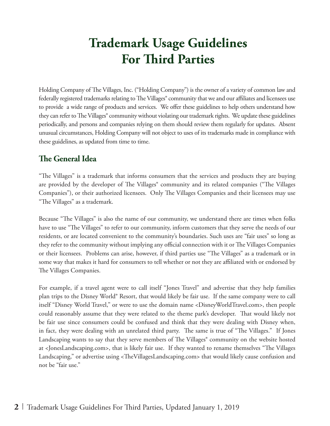# **Trademark Usage Guidelines For Third Parties**

Holding Company of The Villages, Inc. ("Holding Company") is the owner of a variety of common law and federally registered trademarks relating to The Villages® community that we and our affiliates and licensees use to provide a wide range of products and services. We offer these guidelines to help others understand how they can refer to The Villages® community without violating our trademark rights. We update these guidelines periodically, and persons and companies relying on them should review them regularly for updates. Absent unusual circumstances, Holding Company will not object to uses of its trademarks made in compliance with these guidelines, as updated from time to time.

## **The General Idea**

"The Villages" is a trademark that informs consumers that the services and products they are buying are provided by the developer of The Villages<sup>®</sup> community and its related companies ("The Villages Companies"), or their authorized licensees. Only The Villages Companies and their licensees may use "The Villages" as a trademark.

Because "The Villages" is also the name of our community, we understand there are times when folks have to use "The Villages" to refer to our community, inform customers that they serve the needs of our residents, or are located convenient to the community's boundaries. Such uses are "fair uses" so long as they refer to the community without implying any official connection with it or The Villages Companies or their licensees. Problems can arise, however, if third parties use "The Villages" as a trademark or in some way that makes it hard for consumers to tell whether or not they are affiliated with or endorsed by The Villages Companies.

For example, if a travel agent were to call itself "Jones Travel" and advertise that they help families plan trips to the Disney World® Resort, that would likely be fair use. If the same company were to call itself "Disney World Travel," or were to use the domain name <DisneyWorldTravel.com>, then people could reasonably assume that they were related to the theme park's developer. That would likely not be fair use since consumers could be confused and think that they were dealing with Disney when, in fact, they were dealing with an unrelated third party. The same is true of "The Villages." If Jones Landscaping wants to say that they serve members of The Villages<sup>®</sup> community on the website hosted at <JonesLandscaping.com>, that is likely fair use. If they wanted to rename themselves "The Villages Landscaping," or advertise using <TheVillagesLandscaping.com> that would likely cause confusion and not be "fair use."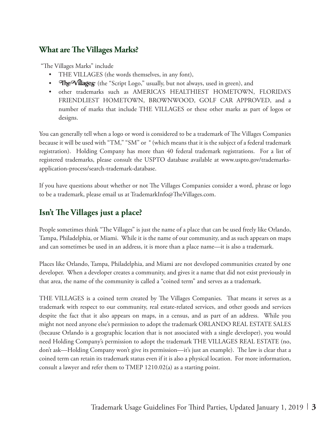### **What are The Villages Marks?**

"The Villages Marks" include

- THE VILLAGES (the words themselves, in any font),
- The Villages (the "Script Logo," usually, but not always, used in green), and
- other trademarks such as AMERICA'S HEALTHIEST HOMETOWN, FLORIDA'S FRIENDLIEST HOMETOWN, BROWNWOOD, GOLF CAR APPROVED, and a number of marks that include THE VILLAGES or these other marks as part of logos or designs.

You can generally tell when a logo or word is considered to be a trademark of The Villages Companies because it will be used with "TM," "SM" or ® (which means that it is the subject of a federal trademark registration). Holding Company has more than 40 federal trademark registrations. For a list of registered trademarks, please consult the USPTO database available at www.uspto.gov/trademarksapplication-process/search-trademark-database.

If you have questions about whether or not The Villages Companies consider a word, phrase or logo to be a trademark, please email us at TrademarkInfo@TheVillages.com.

## **Isn't The Villages just a place?**

People sometimes think "The Villages" is just the name of a place that can be used freely like Orlando, Tampa, Philadelphia, or Miami. While it is the name of our community, and as such appears on maps and can sometimes be used in an address, it is more than a place name—it is also a trademark.

Places like Orlando, Tampa, Philadelphia, and Miami are not developed communities created by one developer. When a developer creates a community, and gives it a name that did not exist previously in that area, the name of the community is called a "coined term" and serves as a trademark.

THE VILLAGES is a coined term created by The Villages Companies. That means it serves as a trademark with respect to our community, real estate-related services, and other goods and services despite the fact that it also appears on maps, in a census, and as part of an address. While you might not need anyone else's permission to adopt the trademark ORLANDO REAL ESTATE SALES (because Orlando is a geographic location that is not associated with a single developer), you would need Holding Company's permission to adopt the trademark THE VILLAGES REAL ESTATE (no, don't ask—Holding Company won't give its permission—it's just an example). The law is clear that a coined term can retain its trademark status even if it is also a physical location. For more information, consult a lawyer and refer them to TMEP 1210.02(a) as a starting point.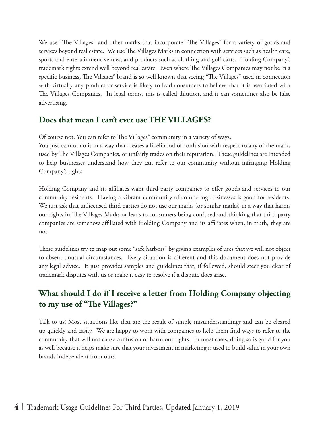We use "The Villages" and other marks that incorporate "The Villages" for a variety of goods and services beyond real estate. We use The Villages Marks in connection with services such as health care, sports and entertainment venues, and products such as clothing and golf carts. Holding Company's trademark rights extend well beyond real estate. Even where The Villages Companies may not be in a specific business, The Villages® brand is so well known that seeing "The Villages" used in connection with virtually any product or service is likely to lead consumers to believe that it is associated with The Villages Companies. In legal terms, this is called dilution, and it can sometimes also be false advertising.

### **Does that mean I can't ever use THE VILLAGES?**

Of course not. You can refer to The Villages® community in a variety of ways.

You just cannot do it in a way that creates a likelihood of confusion with respect to any of the marks used by The Villages Companies, or unfairly trades on their reputation. These guidelines are intended to help businesses understand how they can refer to our community without infringing Holding Company's rights.

Holding Company and its affiliates want third-party companies to offer goods and services to our community residents. Having a vibrant community of competing businesses is good for residents. We just ask that unlicensed third parties do not use our marks (or similar marks) in a way that harms our rights in The Villages Marks or leads to consumers being confused and thinking that third-party companies are somehow affiliated with Holding Company and its affiliates when, in truth, they are not.

These guidelines try to map out some "safe harbors" by giving examples of uses that we will not object to absent unusual circumstances. Every situation is different and this document does not provide any legal advice. It just provides samples and guidelines that, if followed, should steer you clear of trademark disputes with us or make it easy to resolve if a dispute does arise.

## **What should I do if I receive a letter from Holding Company objecting to my use of "The Villages?"**

Talk to us! Most situations like that are the result of simple misunderstandings and can be cleared up quickly and easily. We are happy to work with companies to help them find ways to refer to the community that will not cause confusion or harm our rights. In most cases, doing so is good for you as well because it helps make sure that your investment in marketing is used to build value in your own brands independent from ours.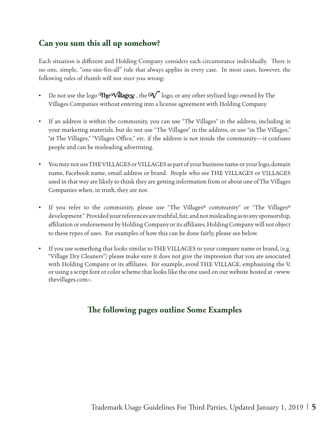### **Can you sum this all up somehow?**

Each situation is different and Holding Company considers each circumstance individually. There is no one, simple, "one-size-fits-all" rule that always applies in every case. In most cases, however, the following rules of thumb will not steer you wrong:

- Do not use the logo The Villages, the  $\mathbf{V}$  logo, or any other stylized logo owned by The Villages Companies without entering into a license agreement with Holding Company.
- If an address is within the community, you can use "The Villages" in the address, including in your marketing materials, but do not use "The Villages" in the address, or use "in The Villages," "at The Villages," "Villages Office," etc. if the address is not inside the community—it confuses people and can be misleading advertising.
- You may not use THE VILLAGES or VILLAGES as part of your business name or your logo, domain name, Facebook name, email address or brand. People who see THE VILLAGES or VILLAGES used in that way are likely to think they are getting information from or about one of The Villages Companies when, in truth, they are not.
- If you refer to the community, please use "The Villages® community" or "The Villages® development." Provided your references are truthful, fair, and not misleading as to any sponsorship, affiliation or endorsement by Holding Company or its affiliates, Holding Company will not object to these types of uses. For examples of how this can be done fairly, please see below.
- If you use something that looks similar to THE VILLAGES in your company name or brand, (e.g. "Village Dry Cleaners") please make sure it does not give the impression that you are associated with Holding Company or its affiliates. For example, avoid THE VILLAGE, emphasizing the V, or using a script font or color scheme that looks like the one used on our website hosted at <www. thevillages.com>.

## **The following pages outline Some Examples**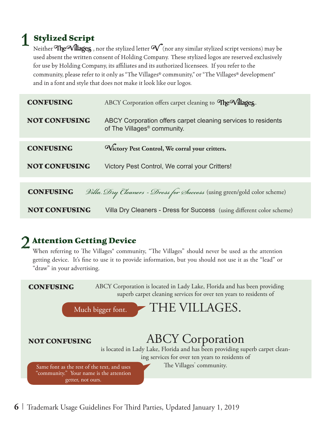## 1 **Stylized Script**

Neither The Villages , nor the stylized letter  $\mathcal{N}$  (nor any similar stylized script versions) may be used absent the written consent of Holding Company. These stylized logos are reserved exclusively for use by Holding Company, its affiliates and its authorized licensees. If you refer to the community, please refer to it only as "The Villages® community," or "The Villages® development" and in a font and style that does not make it look like our logos.

| <b>CONFUSING</b>     | ABCY Corporation offers carpet cleaning to The Villages.                                                 |
|----------------------|----------------------------------------------------------------------------------------------------------|
| <b>NOT CONFUSING</b> | ABCY Corporation offers carpet cleaning services to residents<br>of The Villages <sup>®</sup> community. |
| <b>CONFUSING</b>     | Wictory Pest Control, We corral your critters.                                                           |
| <b>NOT CONFUSING</b> | Victory Pest Control, We corral your Critters!                                                           |
|                      |                                                                                                          |
| <b>CONFUSING</b>     | <i>Dilla. Dry Cleaners - Dress for Success</i> (using green/gold color scheme)                           |
| <b>NOT CONFUSING</b> | Villa Dry Cleaners - Dress for Success (using different color scheme)                                    |

## **Attention Getting Device**

When referring to The Villages<sup>®</sup> community, "The Villages" should never be used as the attention getting device. It's fine to use it to provide information, but you should not use it as the "lead" or "draw" in your advertising.

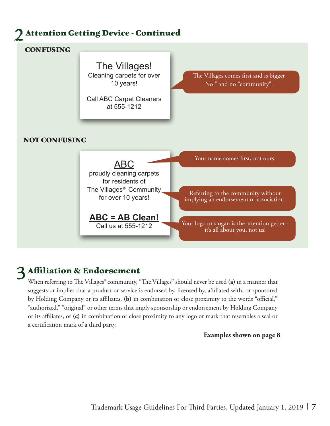

### 3 **Affiliation & Endorsement**

When referring to The Villages® community, "The Villages" should never be used **(a)** in a manner that suggests or implies that a product or service is endorsed by, licensed by, affiliated with, or sponsored by Holding Company or its affiliates, **(b)** in combination or close proximity to the words "official," "authorized," "original" or other terms that imply sponsorship or endorsement by Holding Company or its affiliates, or **(c)** in combination or close proximity to any logo or mark that resembles a seal or a certification mark of a third party.

#### **Examples shown on page 8**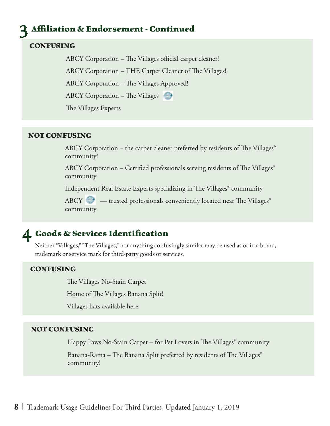## 3 **Affiliation & Endorsement - Continued**

#### **CONFUSING**

ABCY Corporation – The Villages official carpet cleaner!

ABCY Corporation – THE Carpet Cleaner of The Villages!

ABCY Corporation – The Villages Approved!

ABCY Corporation – The Villages

The Villages Experts

#### **NOT CONFUSING**

ABCY Corporation – the carpet cleaner preferred by residents of The Villages<sup>®</sup> community!

ABCY Corporation – Certified professionals serving residents of The Villages® community

Independent Real Estate Experts specializing in The Villages® community

ABCY  $\qquad \qquad =$  trusted professionals conveniently located near The Villages® community

### 4 **Goods & Services Identification**

Neither "Villages," "The Villages," nor anything confusingly similar may be used as or in a brand, trademark or service mark for third-party goods or services.

#### **CONFUSING**

The Villages No-Stain Carpet

Home of The Villages Banana Split!

Villages hats available here

#### **NOT CONFUSING**

Happy Paws No-Stain Carpet – for Pet Lovers in The Villages<sup>®</sup> community

Banana-Rama – The Banana Split preferred by residents of The Villages<sup>®</sup> community!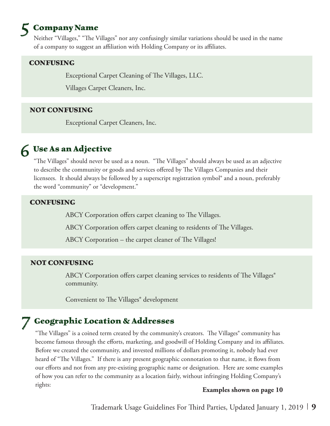## 5 **Company Name**

Neither "Villages," "The Villages" nor any confusingly similar variations should be used in the name of a company to suggest an affiliation with Holding Company or its affiliates.

#### **CONFUSING**

Exceptional Carpet Cleaning of The Villages, LLC.

Villages Carpet Cleaners, Inc.

#### **NOT CONFUSING**

Exceptional Carpet Cleaners, Inc.

## 6 **Use As an Adjective**

"The Villages" should never be used as a noun. "The Villages" should always be used as an adjective to describe the community or goods and services offered by The Villages Companies and their licensees. It should always be followed by a superscript registration symbol® and a noun, preferably the word "community" or "development."

#### **CONFUSING**

ABCY Corporation offers carpet cleaning to The Villages.

ABCY Corporation offers carpet cleaning to residents of The Villages.

ABCY Corporation – the carpet cleaner of The Villages!

#### **NOT CONFUSING**

ABCY Corporation offers carpet cleaning services to residents of The Villages<sup>®</sup> community.

Convenient to The Villages® development

## 7 **Geographic Location & Addresses**

"The Villages" is a coined term created by the community's creators. The Villages® community has become famous through the efforts, marketing, and goodwill of Holding Company and its affiliates. Before we created the community, and invested millions of dollars promoting it, nobody had ever heard of "The Villages." If there is any present geographic connotation to that name, it flows from our efforts and not from any pre-existing geographic name or designation. Here are some examples of how you can refer to the community as a location fairly, without infringing Holding Company's rights:

#### **Examples shown on page 10**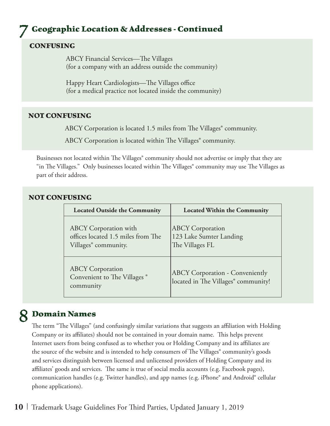## 7 **Geographic Location & Addresses - Continued**

#### **CONFUSING**

ABCY Financial Services—The Villages (for a company with an address outside the community)

Happy Heart Cardiologists—The Villages office (for a medical practice not located inside the community)

#### **NOT CONFUSING**

ABCY Corporation is located 1.5 miles from The Villages<sup>®</sup> community.

ABCY Corporation is located within The Villages<sup>®</sup> community.

Businesses not located within The Villages<sup>®</sup> community should not advertise or imply that they are "in The Villages." Only businesses located within The Villages® community may use The Villages as part of their address.

#### **NOT CONFUSING**

| <b>Located Outside the Community</b>                                                                   | <b>Located Within the Community</b>                                           |
|--------------------------------------------------------------------------------------------------------|-------------------------------------------------------------------------------|
| <b>ABCY</b> Corporation with<br>offices located 1.5 miles from The<br>Villages <sup>®</sup> community. | <b>ABCY</b> Corporation<br>123 Lake Sumter Landing<br>The Villages FL         |
| <b>ABCY</b> Corporation<br>Convenient to The Villages <sup>®</sup><br>community                        | <b>ABCY Corporation - Conveniently</b><br>located in The Villages® community! |

## 8 **Domain Names**

The term "The Villages" (and confusingly similar variations that suggests an affiliation with Holding Company or its affiliates) should not be contained in your domain name. This helps prevent Internet users from being confused as to whether you or Holding Company and its affiliates are the source of the website and is intended to help consumers of The Villages<sup>®</sup> community's goods and services distinguish between licensed and unlicensed providers of Holding Company and its affiliates' goods and services. The same is true of social media accounts (e.g. Facebook pages), communication handles (e.g. Twitter handles), and app names (e.g. iPhone® and Android® cellular phone applications).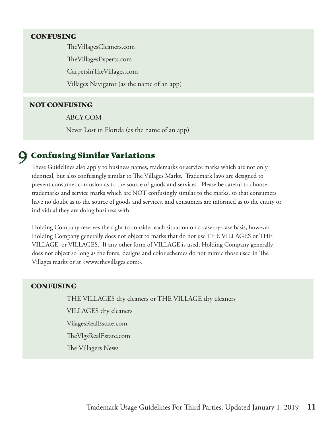#### **CONFUSING**

TheVillagesCleaners.com TheVillagesExperts.com CarpetsinTheVillages.com Villages Navigator (as the name of an app)

#### **NOT CONFUSING**

ABCY.COM

Never Lost in Florida (as the name of an app)

### 9 **Confusing Similar Variations**

These Guidelines also apply to business names, trademarks or service marks which are not only identical, but also confusingly similar to The Villages Marks. Trademark laws are designed to prevent consumer confusion as to the source of goods and services. Please be careful to choose trademarks and service marks which are NOT confusingly similar to the marks, so that consumers have no doubt as to the source of goods and services, and consumers are informed as to the entity or individual they are doing business with.

Holding Company reserves the right to consider each situation on a case-by-case basis, however Holding Company generally does not object to marks that do not use THE VILLAGES or THE VILLAGE, or VILLAGES. If any other form of VILLAGE is used, Holding Company generally does not object so long as the fonts, designs and color schemes do not mimic those used in The Villages marks or at <www.thevillages.com>.

#### **CONFUSING**

THE VILLAGES dry cleaners or THE VILLAGE dry cleaners

VILLAGES dry cleaners

VilagesRealEstate.com

TheVlgsRealEstate.com

The Villagers News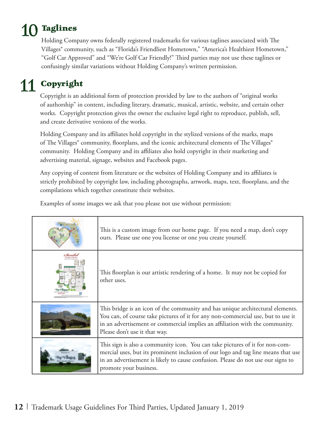# 10 **Taglines**

Holding Company owns federally registered trademarks for various taglines associated with The Villages® community, such as "Florida's Friendliest Hometown," "America's Healthiest Hometown," "Golf Car Approved" and "We're Golf Car Friendly!" Third parties may not use these taglines or confusingly similar variations without Holding Company's written permission.

## 11 **Copyright**

Copyright is an additional form of protection provided by law to the authors of "original works of authorship" in content, including literary, dramatic, musical, artistic, website, and certain other works. Copyright protection gives the owner the exclusive legal right to reproduce, publish, sell, and create derivative versions of the works.

Holding Company and its affiliates hold copyright in the stylized versions of the marks, maps of The Villages® community, floorplans, and the iconic architectural elements of The Villages® community. Holding Company and its affiliates also hold copyright in their marketing and advertising material, signage, websites and Facebook pages.

Any copying of content from literature or the websites of Holding Company and its affiliates is strictly prohibited by copyright law, including photographs, artwork, maps, text, floorplans, and the compilations which together constitute their websites.

Examples of some images we ask that you please not use without permission:

| This is a custom image from our home page. If you need a map, don't copy<br>ours. Please use one you license or one you create yourself.                                                                                                                                            |
|-------------------------------------------------------------------------------------------------------------------------------------------------------------------------------------------------------------------------------------------------------------------------------------|
| This floorplan is our artistic rendering of a home. It may not be copied for<br>other uses.                                                                                                                                                                                         |
| This bridge is an icon of the community and has unique architectural elements.<br>You can, of course take pictures of it for any non-commercial use, but to use it<br>in an advertisement or commercial implies an affiliation with the community.<br>Please don't use it that way. |
| This sign is also a community icon. You can take pictures of it for non-com-<br>mercial uses, but its prominent inclusion of our logo and tag line means that use<br>in an advertisement is likely to cause confusion. Please do not use our signs to<br>promote your business.     |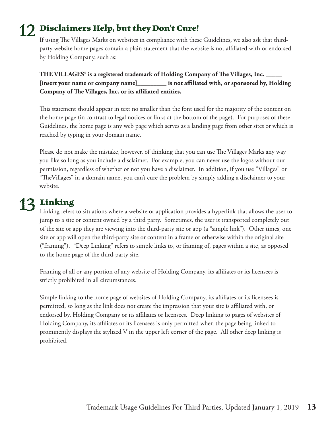## 12 **Disclaimers Help, but they Don't Cure!**

If using The Villages Marks on websites in compliance with these Guidelines, we also ask that thirdparty website home pages contain a plain statement that the website is not affiliated with or endorsed by Holding Company, such as:

**THE VILLAGES® is a registered trademark of Holding Company of The Villages, Inc. \_\_\_\_\_ [insert your name or company name]\_\_\_\_\_\_\_\_\_ is not affiliated with, or sponsored by, Holding Company of The Villages, Inc. or its affiliated entities.**

This statement should appear in text no smaller than the font used for the majority of the content on the home page (in contrast to legal notices or links at the bottom of the page). For purposes of these Guidelines, the home page is any web page which serves as a landing page from other sites or which is reached by typing in your domain name.

Please do not make the mistake, however, of thinking that you can use The Villages Marks any way you like so long as you include a disclaimer. For example, you can never use the logos without our permission, regardless of whether or not you have a disclaimer. In addition, if you use "Villages" or "TheVillages" in a domain name, you can't cure the problem by simply adding a disclaimer to your website.

## 13 **Linking**

Linking refers to situations where a website or application provides a hyperlink that allows the user to jump to a site or content owned by a third party. Sometimes, the user is transported completely out of the site or app they are viewing into the third-party site or app (a "simple link"). Other times, one site or app will open the third-party site or content in a frame or otherwise within the original site ("framing"). "Deep Linking" refers to simple links to, or framing of, pages within a site, as opposed to the home page of the third-party site.

Framing of all or any portion of any website of Holding Company, its affiliates or its licensees is strictly prohibited in all circumstances.

Simple linking to the home page of websites of Holding Company, its affiliates or its licensees is permitted, so long as the link does not create the impression that your site is affiliated with, or endorsed by, Holding Company or its affiliates or licensees. Deep linking to pages of websites of Holding Company, its affiliates or its licensees is only permitted when the page being linked to prominently displays the stylized V in the upper left corner of the page. All other deep linking is prohibited.